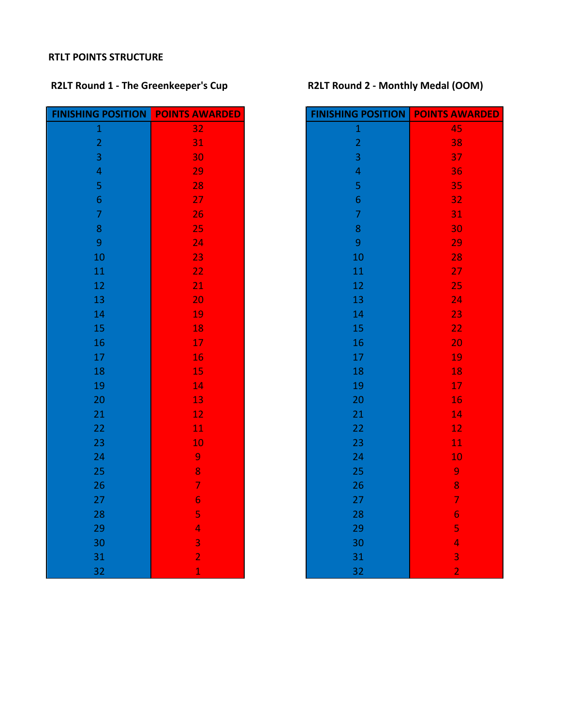### **RTLT POINTS STRUCTURE**

# **R2LT Round 1 - The Greenkeeper's Cup R2LT Round 2 - Monthly Medal (OOM)**

| <b>FINISHING POSITION</b> | <b>POINTS AWARDED</b>    | <b>FINISHING POSITION</b> | <b>POINTS AT</b> |
|---------------------------|--------------------------|---------------------------|------------------|
| $\mathbf 1$               | 32                       | $\mathbf{1}$              | 45               |
| $\overline{2}$            | 31                       | $\overline{c}$            | 38               |
| $\overline{3}$            | 30                       | $\overline{\mathbf{3}}$   | 3 <sup>7</sup>   |
| $\overline{\mathbf{4}}$   | 29                       | $\overline{\mathbf{4}}$   | 3 <sub>6</sub>   |
| 5                         | 28                       | 5                         | 3!               |
| $\boldsymbol{6}$          | 27                       | $\overline{6}$            | 32               |
| $\overline{7}$            | 26                       | $\overline{7}$            | 3 <sup>2</sup>   |
| $\bf 8$                   | 25                       | 8                         | 3 <sub>0</sub>   |
| $\overline{9}$            | 24                       | $\overline{9}$            | <b>29</b>        |
| 10                        | 23                       | 10                        | 28               |
| 11                        | 22                       | 11                        | $\overline{2}$   |
| 12                        | 21                       | 12                        | 2!               |
| 13                        | 20                       | 13                        | 2 <sup>2</sup>   |
| 14                        | 19                       | 14                        | 23               |
| 15                        | 18                       | 15                        | 22               |
| 16                        | 17                       | 16                        | $\overline{2}$   |
| $17\,$                    | 16                       | $17\,$                    | $\mathbf{1}$     |
| 18                        | 15                       | 18                        | $\mathbf{1}$     |
| 19                        | 14                       | 19                        | $\mathbf{1}$     |
| 20                        | 13                       | 20                        | $\mathbf{1}$     |
| 21                        | 12                       | 21                        | $\mathbf{1}$     |
| 22                        | 11                       | 22                        | $\mathbf{1}$     |
| 23                        | 10                       | 23                        | $\mathbf{1}$     |
| 24                        | 9                        | 24                        | $\mathbf{1}$     |
| 25                        | 8                        | 25                        | 9                |
| 26                        | $\overline{\mathcal{I}}$ | 26                        | 8                |
| 27                        | $\overline{6}$           | 27                        | 7                |
| 28                        | 5                        | 28                        | $\overline{6}$   |
| 29                        | 4                        | 29                        | 5                |
| 30                        | $\overline{\mathbf{3}}$  | 30                        | 4                |
| 31                        | $\overline{2}$           | 31                        |                  |
| 32                        | $\overline{1}$           | 32                        | $\frac{3}{2}$    |

| <b>FINISHING POSITION</b> | <b>POINTS AWARDED</b>   | <b>FINISHING POSITION</b> | <b>POINTS AWARDED</b>   |
|---------------------------|-------------------------|---------------------------|-------------------------|
| $\mathbf 1$               | 32                      | $\mathbf{1}$              | 45                      |
| $\overline{2}$            | 31                      | $\frac{2}{3}$             | 38                      |
| $\overline{3}$            | 30                      |                           | 37                      |
| $\overline{4}$            | 29                      | $\overline{\mathbf{4}}$   | 36                      |
| 5                         | 28                      | 5                         | 35                      |
| $\overline{6}$            | 27                      | $\overline{6}$            | 32                      |
| $\overline{7}$            | 26                      | $\overline{7}$            | 31                      |
| 8                         | 25                      | 8                         | 30                      |
| $\boldsymbol{9}$          | 24                      | $\boldsymbol{9}$          | 29                      |
| 10                        | 23                      | 10                        | 28                      |
| 11                        | 22                      | 11                        | 27                      |
| 12                        | 21                      | 12                        | 25                      |
| 13                        | 20                      | 13                        | 24                      |
| 14                        | 19                      | 14                        | 23                      |
| 15                        | 18                      | 15                        | 22                      |
| 16                        | 17                      | 16                        | 20                      |
| 17                        | 16                      | 17                        | 19                      |
| 18                        | 15                      | 18                        | 18                      |
| 19                        | 14                      | 19                        | 17                      |
| 20                        | 13                      | 20                        | 16                      |
| 21                        | 12                      | 21                        | 14                      |
| 22                        | 11                      | 22                        | $12 \text{ }$           |
| 23                        | 10                      | 23                        | 11                      |
| 24                        | 9                       | 24                        | 10                      |
| 25                        | 8                       | 25                        | 9                       |
| 26                        | $\overline{7}$          | 26                        | 8                       |
| 27                        | $\overline{6}$          | 27                        | $\overline{7}$          |
| 28                        | 5                       | 28                        | $\overline{6}$          |
| 29                        | 4                       | 29                        | 5                       |
| 30                        | $\overline{\mathbf{3}}$ | 30                        | $\overline{\mathbf{4}}$ |
| 31                        | $\overline{2}$          | 31                        | 3                       |
| 32                        | $\overline{1}$          | 32                        | $\overline{2}$          |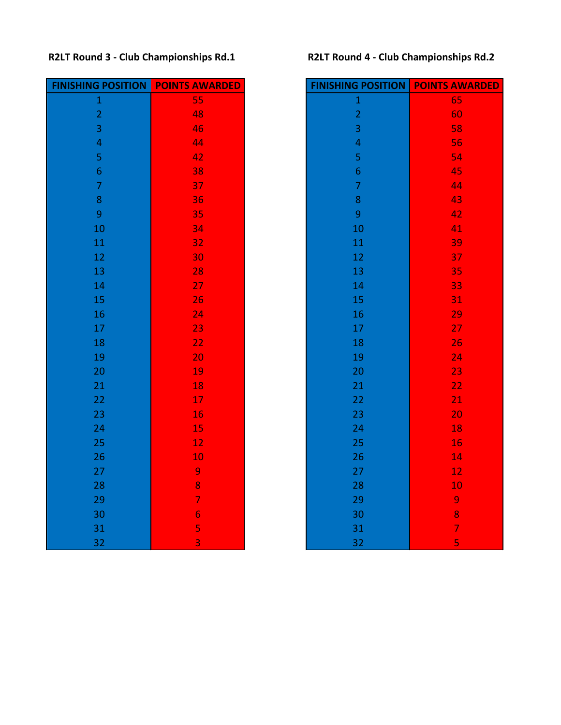# **R2LT Round 3 - Club Championships Rd.1 R2LT Round 4 - Club Championships Rd.2**

| <b>FINISHING POSITION</b> | <b>POINTS AWARDED</b> | <b>FINISHING POSITION</b> | <b>POINTS AT</b> |
|---------------------------|-----------------------|---------------------------|------------------|
| $\mathbf 1$               | 55                    | $\mathbf 1$               | 65               |
| $\overline{2}$            | 48                    | $\overline{2}$            | 6 <sub>0</sub>   |
| $\overline{3}$            | 46                    | 3                         | 58               |
| $\overline{4}$            | 44                    | $\overline{\mathbf{4}}$   | 56               |
| 5                         | 42                    | 5                         | 54               |
| $\overline{6}$            | 38                    | $\overline{6}$            | 4!               |
| $\overline{7}$            | 37                    | $\overline{7}$            | $\overline{4}$   |
| 8                         | 36                    | 8                         | 43               |
| 9                         | 35                    | 9                         | 4                |
| 10                        | 34                    | 10                        | $\overline{4}$   |
| 11                        | 32                    | 11                        | 39               |
| 12                        | 30                    | 12                        | 37               |
| 13                        | 28                    | 13                        | 3!               |
| 14                        | 27                    | 14                        | 33               |
| 15                        | 26                    | 15                        | 3 <sup>2</sup>   |
| 16                        | 24                    | 16                        | 2 <sup>0</sup>   |
| 17                        | 23                    | 17                        | 2 <sup>1</sup>   |
| 18                        | 22                    | 18                        | 2(               |
| 19                        | 20                    | 19                        | 2 <sup>i</sup>   |
| 20                        | 19                    | 20                        | 23               |
| 21                        | 18                    | 21                        | 2 <sup>2</sup>   |
| 22                        | 17                    | 22                        | $\overline{2}$   |
| 23                        | 16                    | 23                        | $\overline{2}$   |
| 24                        | 15                    | 24                        | $\mathbf{1}$     |
| 25                        | 12                    | 25                        | $\mathbf{1}$     |
| 26                        | 10                    | 26                        | $\mathbf{1}$     |
| 27                        | $\overline{9}$        | 27                        | $\mathbf{1}$     |
| 28                        | 8                     | 28                        | $\mathbf{1}$     |
| 29                        | $\overline{7}$        | 29                        | 9                |
| 30                        | $\overline{6}$        | 30                        | 8                |
| 31                        | 5                     | 31                        | 7                |
| 32                        | $\overline{3}$        | 32                        | 5                |

| <b>FINISHING POSITION</b> | <b>POINTS AWARDED</b> | <b>FINISHING POSITION</b> | <b>POINTS AWARDED</b> |
|---------------------------|-----------------------|---------------------------|-----------------------|
| $\mathbf 1$               | 55                    | $\mathbf 1$               | 65                    |
| $\overline{2}$            | 48                    | $\overline{2}$            | 60                    |
| $\overline{3}$            | 46                    | $\overline{\mathbf{3}}$   | 58                    |
| $\overline{\mathbf{4}}$   | 44                    | $\overline{\mathbf{4}}$   | 56                    |
| 5                         | 42                    | 5                         | 54                    |
| $\sqrt{6}$                | 38                    | $\boldsymbol{6}$          | 45                    |
| $\overline{7}$            | 37                    | $\overline{7}$            | 44                    |
| $\bf 8$                   | 36                    | $\bf 8$                   | 43                    |
| $\overline{9}$            | 35                    | $\boldsymbol{9}$          | 42                    |
| 10                        | 34                    | 10                        | 41                    |
| 11                        | 32                    | $11\,$                    | 39                    |
| 12                        | 30                    | 12                        | 37                    |
| 13                        | 28                    | 13                        | 35                    |
| 14                        | 27                    | 14                        | 33                    |
| 15                        | 26                    | 15                        | 31                    |
| 16                        | 24                    | 16                        | 29                    |
| 17                        | 23                    | $17\,$                    | 27                    |
| 18                        | 22                    | 18                        | 26                    |
| 19                        | 20                    | 19                        | 24                    |
| 20                        | 19                    | 20                        | 23                    |
| 21                        | 18                    | 21                        | 22                    |
| 22                        | 17                    | 22                        | 21                    |
| 23                        | 16                    | 23                        | 20                    |
| 24                        | 15                    | 24                        | 18                    |
| 25                        | 12                    | 25                        | 16                    |
| 26                        | 10                    | 26                        | 14                    |
| 27                        | 9                     | 27                        | $12 \overline{ }$     |
| 28                        | 8                     | 28                        | 10                    |
| 29                        | $\overline{7}$        | 29                        | 9                     |
| 30                        | $\overline{6}$        | 30                        | 8                     |
| 31                        | 5                     | 31                        | $\overline{7}$        |
| 32                        | $\overline{3}$        | 32                        | $\overline{5}$        |